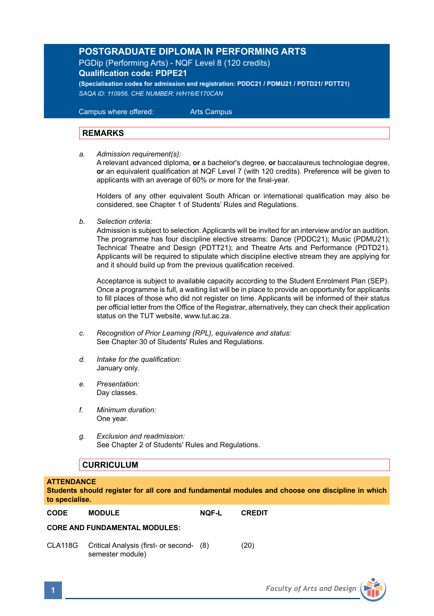# **POSTGRADUATE DIPLOMA IN PERFORMING ARTS**

PGDip (Performing Arts) - NQF Level 8 (120 credits) **Qualification code: PDPE21**

**(Specialisation codes for admission and registration: PDDC21 / PDMU21 / PDTD21/ PDTT21)** *SAQA ID: 110956, CHE NUMBER: H/H16/E170CAN* 

 Campus where offered: Arts Campus

### **REMARKS**

*a. Admission requirement(s):* 

A relevant advanced diploma, **or** a bachelor's degree, **or** baccalaureus technologiae degree, **or** an equivalent qualification at NQF Level 7 (with 120 credits). Preference will be given to applicants with an average of 60% or more for the final-year.

Holders of any other equivalent South African or international qualification may also be considered, see Chapter 1 of Students' Rules and Regulations.

*b. Selection criteria:*

Admission is subject to selection. Applicants will be invited for an interview and/or an audition. The programme has four discipline elective streams: Dance (PDDC21); Music (PDMU21); Technical Theatre and Design (PDTT21); and Theatre Arts and Performance (PDTD21). Applicants will be required to stipulate which discipline elective stream they are applying for and it should build up from the previous qualification received.

 Acceptance is subject to available capacity according to the Student Enrolment Plan (SEP). Once a programme is full, a waiting list will be in place to provide an opportunity for applicants to fill places of those who did not register on time. Applicants will be informed of their status per official letter from the Office of the Registrar, alternatively, they can check their application status on the TUT website, www.tut.ac.za.

- *c. Recognition of Prior Learning (RPL), equivalence and status:* See Chapter 30 of Students' Rules and Regulations.
- *d. Intake for the qualification:* January only.
- *e. Presentation:* Day classes.
- *f. Minimum duration:* One year.
- *g. Exclusion and readmission:* See Chapter 2 of Students' Rules and Regulations.

### **CURRICULUM**

#### **ATTENDANCE**

**Students should register for all core and fundamental modules and choose one discipline in which to specialise.**

**CODE MODULE NQF-L CREDIT** 

#### **CORE AND FUNDAMENTAL MODULES:**

CLA118G Critical Analysis (first- or second- (8) (20) semester module)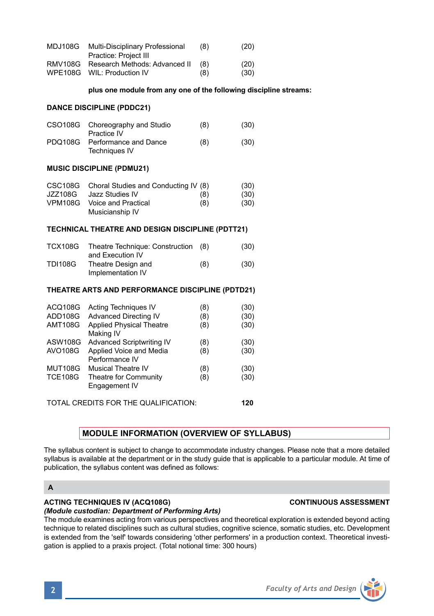| MDJ108G | Multi-Disciplinary Professional<br>Practice: Project III | (8) | (20) |
|---------|----------------------------------------------------------|-----|------|
| RMV108G | Research Methods: Advanced II                            | (8) | (20) |
|         | WPE108G WIL: Production IV                               | (8) | (30) |

#### **plus one module from any one of the following discipline streams:**

#### **DANCE DISCIPLINE (PDDC21)**

| CSO108G Choreography and Studio<br>Practice IV | (8) | (30) |
|------------------------------------------------|-----|------|
| PDQ108G Performance and Dance<br>Techniques IV | (8) | (30) |

### **MUSIC DISCIPLINE (PDMU21)**

|                | CSC108G Choral Studies and Conducting IV (8) |     | (30) |
|----------------|----------------------------------------------|-----|------|
| JZZ108G        | Jazz Studies IV                              | (8) | (30) |
| <b>VPM108G</b> | Voice and Practical                          | (8) | (30) |
|                | Musicianship IV                              |     |      |

#### **TECHNICAL THEATRE AND DESIGN DISCIPLINE (PDTT21)**

| <b>TCX108G</b> | Theatre Technique: Construction | (8) | (30) |
|----------------|---------------------------------|-----|------|
|                | and Execution IV                |     |      |
| <b>TDI108G</b> | Theatre Design and              | (8) | (30) |
|                | Implementation IV               |     |      |

#### **THEATRE ARTS AND PERFORMANCE DISCIPLINE (PDTD21)**

| ACQ108G        | <b>Acting Techniques IV</b>                  | (8) | (30) |
|----------------|----------------------------------------------|-----|------|
| ADD108G        | <b>Advanced Directing IV</b>                 | (8) | (30) |
| <b>AMT108G</b> | <b>Applied Physical Theatre</b><br>Making IV | (8) | (30) |
| <b>ASW108G</b> | Advanced Scriptwriting IV                    | (8) | (30) |
| AVO108G        | Applied Voice and Media<br>Performance IV    | (8) | (30) |
| <b>MUT108G</b> | Musical Theatre IV                           | (8) | (30) |
| <b>TCE108G</b> | Theatre for Community<br>Engagement IV       | (8) | (30) |
|                |                                              |     |      |

TOTAL CREDITS FOR THE QUALIFICATION: **120**

# **MODULE INFORMATION (OVERVIEW OF SYLLABUS)**

The syllabus content is subject to change to accommodate industry changes. Please note that a more detailed syllabus is available at the department or in the study quide that is applicable to a particular module. At time of publication, the syllabus content was defined as follows:

## **A**

### **ACTING TECHNIQUES IV (ACQ108G) CONTINUOUS ASSESSMENT**

#### *(Module custodian: Department of Performing Arts)*

The module examines acting from various perspectives and theoretical exploration is extended beyond acting technique to related disciplines such as cultural studies, cognitive science, somatic studies, etc. Development is extended from the 'self' towards considering 'other performers' in a production context. Theoretical investigation is applied to a praxis project. (Total notional time: 300 hours)

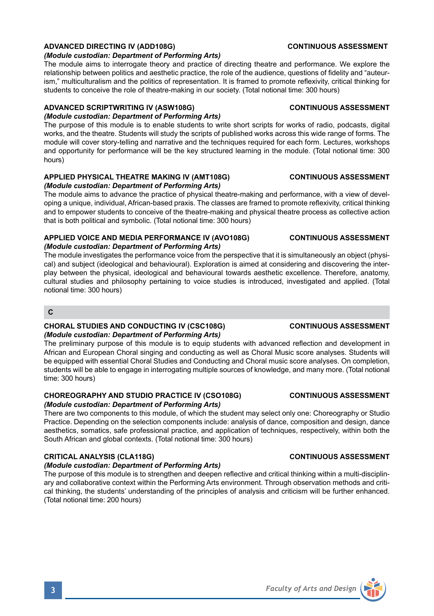### **ADVANCED DIRECTING IV (ADD108G) CONTINUOUS ASSESSMENT**

#### *(Module custodian: Department of Performing Arts)*

The module aims to interrogate theory and practice of directing theatre and performance. We explore the relationship between politics and aesthetic practice, the role of the audience, questions of fidelity and "auteurism," multiculturalism and the politics of representation. It is framed to promote reflexivity, critical thinking for students to conceive the role of theatre-making in our society. (Total notional time: 300 hours)

### **ADVANCED SCRIPTWRITING IV (ASW108G) CONTINUOUS ASSESSMENT**

## *(Module custodian: Department of Performing Arts)*

The purpose of this module is to enable students to write short scripts for works of radio, podcasts, digital works, and the theatre. Students will study the scripts of published works across this wide range of forms. The module will cover story-telling and narrative and the techniques required for each form. Lectures, workshops and opportunity for performance will be the key structured learning in the module. (Total notional time: 300 hours)

### **APPLIED PHYSICAL THEATRE MAKING IV (AMT108G) CONTINUOUS ASSESSMENT** *(Module custodian: Department of Performing Arts)*

The module aims to advance the practice of physical theatre-making and performance, with a view of developing a unique, individual, African-based praxis. The classes are framed to promote reflexivity, critical thinking and to empower students to conceive of the theatre-making and physical theatre process as collective action that is both political and symbolic. (Total notional time: 300 hours)

### **APPLIED VOICE AND MEDIA PERFORMANCE IV (AVO108G) CONTINUOUS ASSESSMENT** *(Module custodian: Department of Performing Arts)*

The module investigates the performance voice from the perspective that it is simultaneously an object (physical) and subject (ideological and behavioural). Exploration is aimed at considering and discovering the interplay between the physical, ideological and behavioural towards aesthetic excellence. Therefore, anatomy, cultural studies and philosophy pertaining to voice studies is introduced, investigated and applied. (Total notional time: 300 hours)

### **C**

### **CHORAL STUDIES AND CONDUCTING IV (CSC108G) CONTINUOUS ASSESSMENT** *(Module custodian: Department of Performing Arts)*

The preliminary purpose of this module is to equip students with advanced reflection and development in African and European Choral singing and conducting as well as Choral Music score analyses. Students will be equipped with essential Choral Studies and Conducting and Choral music score analyses. On completion, students will be able to engage in interrogating multiple sources of knowledge, and many more. (Total notional time: 300 hours)

# **CHOREOGRAPHY AND STUDIO PRACTICE IV (CSO108G) CONTINUOUS ASSESSMENT**

# *(Module custodian: Department of Performing Arts)*

There are two components to this module, of which the student may select only one: Choreography or Studio Practice. Depending on the selection components include: analysis of dance, composition and design, dance aesthetics, somatics, safe professional practice, and application of techniques, respectively, within both the South African and global contexts. (Total notional time: 300 hours)

## CRITICAL ANALYSIS (CLA118G) **CONTINUOUS ASSESSMENT**

## *(Module custodian: Department of Performing Arts)*

The purpose of this module is to strengthen and deepen reflective and critical thinking within a multi-disciplinary and collaborative context within the Performing Arts environment. Through observation methods and critical thinking, the students' understanding of the principles of analysis and criticism will be further enhanced. (Total notional time: 200 hours)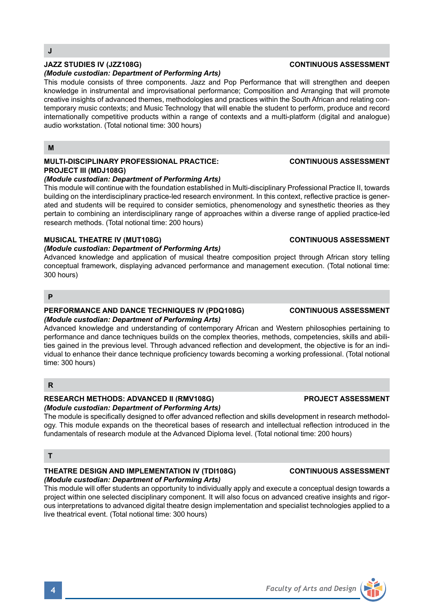# **J**

## **JAZZ STUDIES IV (JZZ108G) CONTINUOUS ASSESSMENT**

#### *(Module custodian: Department of Performing Arts)*

This module consists of three components. Jazz and Pop Performance that will strengthen and deepen knowledge in instrumental and improvisational performance; Composition and Arranging that will promote creative insights of advanced themes, methodologies and practices within the South African and relating contemporary music contexts; and Music Technology that will enable the student to perform, produce and record internationally competitive products within a range of contexts and a multi-platform (digital and analogue) audio workstation. (Total notional time: 300 hours)

#### **M**

#### **MULTI-DISCIPLINARY PROFESSIONAL PRACTICE: CONTINUOUS ASSESSMENT PROJECT III (MDJ108G)**

### *(Module custodian: Department of Performing Arts)*

This module will continue with the foundation established in Multi-disciplinary Professional Practice II, towards building on the interdisciplinary practice-led research environment. In this context, reflective practice is generated and students will be required to consider semiotics, phenomenology and synesthetic theories as they pertain to combining an interdisciplinary range of approaches within a diverse range of applied practice-led research methods. (Total notional time: 200 hours)

### **MUSICAL THEATRE IV (MUT108G) CONTINUOUS ASSESSMENT**

#### *(Module custodian: Department of Performing Arts)*

Advanced knowledge and application of musical theatre composition project through African story telling conceptual framework, displaying advanced performance and management execution. (Total notional time: 300 hours)

### **P**

#### **PERFORMANCE AND DANCE TECHNIQUES IV (PDQ108G) CONTINUOUS ASSESSMENT** *(Module custodian: Department of Performing Arts)*

Advanced knowledge and understanding of contemporary African and Western philosophies pertaining to performance and dance techniques builds on the complex theories, methods, competencies, skills and abilities gained in the previous level. Through advanced reflection and development, the objective is for an individual to enhance their dance technique proficiency towards becoming a working professional. (Total notional time: 300 hours)

# **R**

#### RESEARCH METHODS: ADVANCED II (RMV108G) **PROJECT ASSESSMENT** *(Module custodian: Department of Performing Arts)*

The module is specifically designed to offer advanced reflection and skills development in research methodology. This module expands on the theoretical bases of research and intellectual reflection introduced in the fundamentals of research module at the Advanced Diploma level. (Total notional time: 200 hours)

## **T**

# **THEATRE DESIGN AND IMPLEMENTATION IV (TDI108G) CONTINUOUS ASSESSMENT**

## *(Module custodian: Department of Performing Arts)*

This module will offer students an opportunity to individually apply and execute a conceptual design towards a project within one selected disciplinary component. It will also focus on advanced creative insights and rigorous interpretations to advanced digital theatre design implementation and specialist technologies applied to a live theatrical event. (Total notional time: 300 hours)